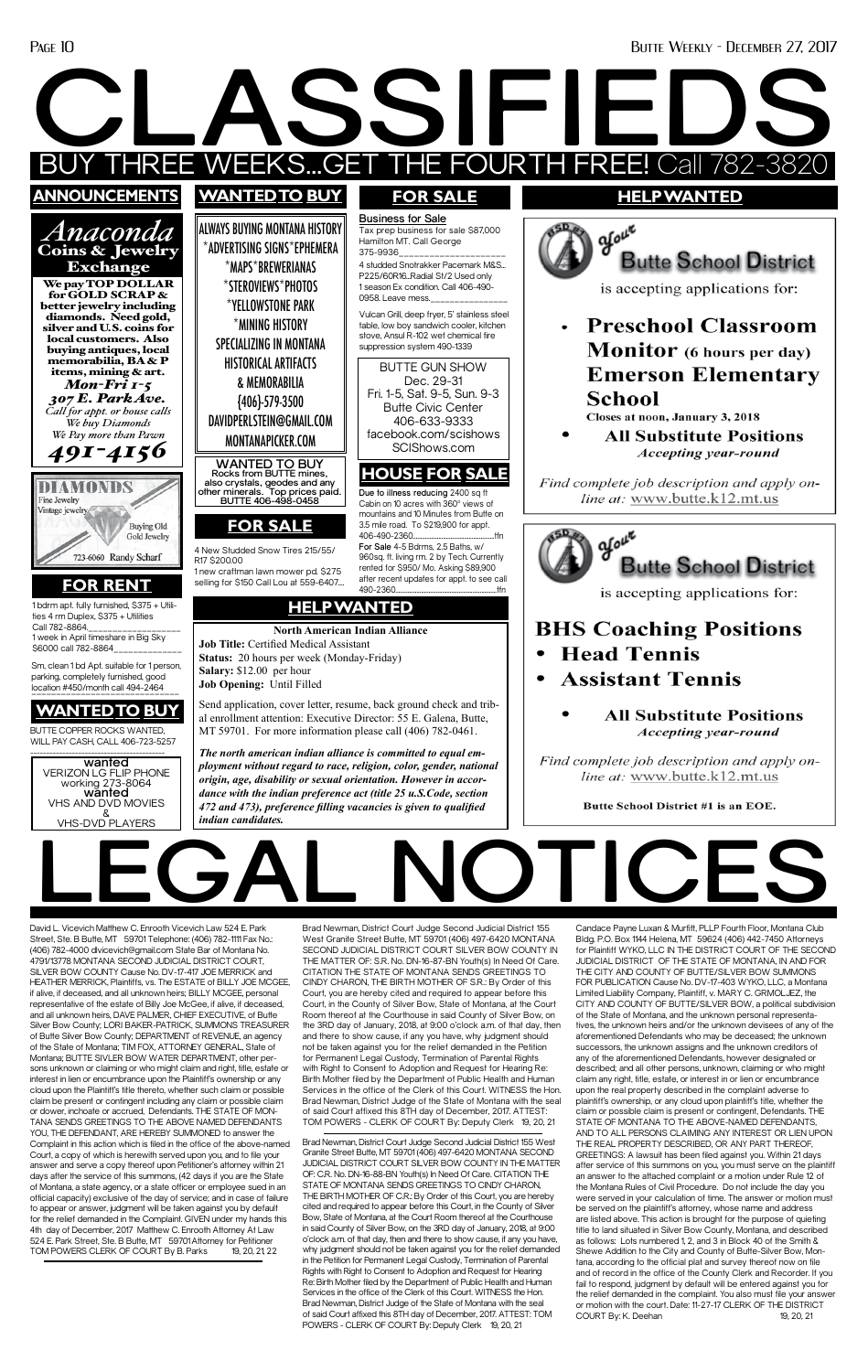David L. Vicevich Matthew C. Enrooth Vicevich Law 524 E. Park Street. Ste. B Butte, MT 59701 Telephone: (406) 782-1111 Fax No.: (406) 782-4000 dlvicevich@gmail.com State Bar of Montana No. 4791/13778 MONTANA SECOND JUDICIAL DISTRICT COURT, SILVER BOW COUNTY Cause No. DV-17-417 JOE MERRICK and HEATHER MERRICK, Plaintiffs, vs. The ESTATE of BILLY JOE MCGEE, if alive, if deceased, and all unknown heirs; BILLY MCGEE, personal representative of the estate of Billy Joe McGee, if alive, if deceased, and all unknown heirs, DAVE PALMER, CHIEF EXECUTIVE, of Butte Silver Bow County; LORI BAKER-PATRICK, SUMMONS TREASURER of Butte Silver Bow County; DEPARTMENT of REVENUE, an agency of the State of Montana; TIM FOX, ATTORNEY GENERAL, State of Montana; BUTTE SIVLER BOW WATER DEPARTMENT, other persons unknown or claiming or who might claim and right, title, estate or interest in lien or encumbrance upon the Plaintiff's ownership or any cloud upon the Plaintiff's title thereto, whether such claim or possible claim be present or contingent including any claim or possible claim or dower, inchoate or accrued, Defendants. THE STATE OF MON-TANA SENDS GREETINGS TO THE ABOVE NAMED DEFENDANTS YOU, THE DEFENDANT, ARE HEREBY SUMMONED to answer the Complaint in this action which is filed in the office of the above-named Court, a copy of which is herewith served upon you, and to file your answer and serve a copy thereof upon Petitioner's attorney within 21 days after the service of this summons, (42 days if you are the State of Montana, a state agency, or a state officer or employee sued in an official capacity) exclusive of the day of service; and in case of failure to appear or answer, judgment will be taken against you by default for the relief demanded in the Complaint. GIVEN under my hands this 4th day of December, 2017 Matthew C. Enrooth Attorney At Law 524 E. Park Street, Ste. B Butte, MT 59701Attorney for Petitioner TOM POWERS CLERK OF COURT By B. Parks 19, 20, 21, 22



Candace Payne Luxan & Murfitt, PLLP Fourth Floor, Montana Club Bldg. P.O. Box 1144 Helena, MT 59624 (406) 442-7450 Attorneys for Plaintiff WYKO, LLC IN THE DISTRICT COURT OF THE SECOND JUDICIAL DISTRICT OF THE STATE OF MONTANA, IN AND FOR THE CITY AND COUNTY OF BUTTE/SILVER BOW SUMMONS FOR PUBLICATION Cause No. DV-17-403 WYKO, LLC, a Montana Limited Liability Company, Plaintiff, v. MARY C. GRMOLJEZ, the CITY AND COUNTY OF BUTTE/SILVER BOW, a political subdivision of the State of Montana, and the unknown personal representatives, the unknown heirs and/or the unknown devisees of any of the aforementioned Defendants who may be deceased; the unknown successors, the unknown assigns and the unknown creditors of any of the aforementioned Defendants, however designated or described; and all other persons, unknown, claiming or who might claim any right, title, estate, or interest in or lien or encumbrance upon the real property described in the complaint adverse to plaintiff's ownership, or any cloud upon plaintiff's title, whether the claim or possible claim is present or contingent, Defendants. THE STATE OF MONTANA TO THE ABOVE-NAMED DEFENDANTS, AND TO ALL PERSONS CLAIMING ANY INTEREST OR LIEN UPON THE REAL PROPERTY DESCRIBED, OR ANY PART THEREOF, GREETINGS: A lawsuit has been filed against you. Within 21 days after service of this summons on you, you must serve on the plaintiff an answer to the attached complaint or a motion under Rule 12 of the Montana Rules of Civil Procedure. Do not include the day you were served in your calculation of time. The answer or motion must be served on the plaintiff's attorney, whose name and address are listed above. This action is brought for the purpose of quieting title to land situated in Silver Bow County, Montana, and described as follows: Lots numbered 1, 2, and 3 in Block 40 of the Smith & Shewe Addition to the City and County of Butte-Silver Bow, Montana, according to the official plat and survey thereof now on file and of record in the office of the County Clerk and Recorder. If you fail to respond, judgment by default will be entered against you for the relief demanded in the complaint. You also must file your answer or motion with the court. Date: 11-27-17 CLERK OF THE DISTRICT COURT By: K. Deehan 19, 20, 21

Brad Newman, District Court Judge Second Judicial District 155 West Granite Street Butte, MT 59701 (406) 497-6420 MONTANA SECOND JUDICIAL DISTRICT COURT SILVER BOW COUNTY IN THE MATTER OF: S.R. No. DN-16-87-BN Youth(s) In Need Of Care. CITATION THE STATE OF MONTANA SENDS GREETINGS TO CINDY CHARON, THE BIRTH MOTHER OF S.R.: By Order of this Court, you are hereby cited and required to appear before this Court, in the County of Silver Bow, State of Montana, at the Court Room thereof at the Courthouse in said County of Silver Bow, on the 3RD day of January, 2018, at 9:00 o'clock a.m. of that day, then and there to show cause, if any you have, why judgment should not be taken against you for the relief demanded in the Petition for Permanent Legal Custody, Termination of Parental Rights with Right to Consent to Adoption and Request for Hearing Re: Birth Mother filed by the Department of Public Health and Human Services in the office of the Clerk of this Court. WITNESS the Hon. Brad Newman, District Judge of the State of Montana with the seal of said Court affixed this 8TH day of December, 2017. ATTEST: TOM POWERS - CLERK OF COURT By: Deputy Clerk 19, 20, 21

Brad Newman, District Court Judge Second Judicial District 155 West Granite Street Butte, MT 59701 (406) 497-6420 MONTANA SECOND JUDICIAL DISTRICT COURT SILVER BOW COUNTY IN THE MATTER OF: C.R. No. DN-16-88-BN Youth(s) In Need Of Care. CITATION THE STATE OF MONTANA SENDS GREETINGS TO CINDY CHARON, THE BIRTH MOTHER OF C.R.: By Order of this Court, you are hereby cited and required to appear before this Court, in the County of Silver Bow, State of Montana, at the Court Room thereof at the Courthouse in said County of Silver Bow, on the 3RD day of January, 2018, at 9:00 o'clock a.m. of that day, then and there to show cause, if any you have, why judgment should not be taken against you for the relief demanded in the Petition for Permanent Legal Custody, Termination of Parental Rights with Right to Consent to Adoption and Request for Hearing Re: Birth Mother filed by the Department of Public Health and Human Services in the office of the Clerk of this Court. WITNESS the Hon. Brad Newman, District Judge of the State of Montana with the seal of said Court affixed this 8TH day of December, 2017. ATTEST: TOM POWERS - CLERK OF COURT By: Deputy Clerk 19, 20, 21